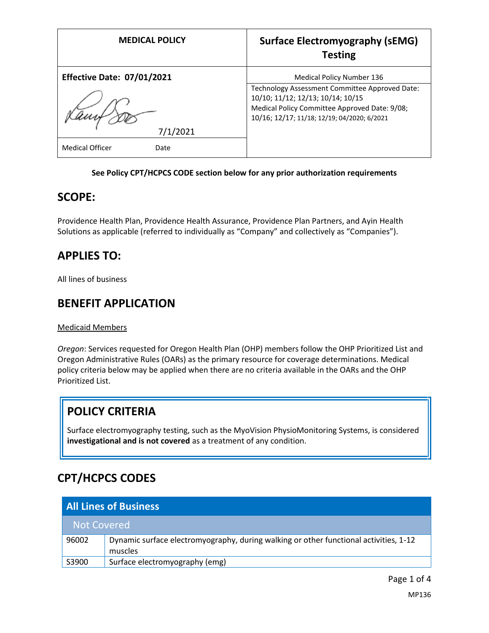| <b>MEDICAL POLICY</b>             | <b>Surface Electromyography (sEMG)</b><br><b>Testing</b>                            |
|-----------------------------------|-------------------------------------------------------------------------------------|
| <b>Effective Date: 07/01/2021</b> | <b>Medical Policy Number 136</b>                                                    |
|                                   | Technology Assessment Committee Approved Date:<br>10/10; 11/12; 12/13; 10/14; 10/15 |
|                                   | Medical Policy Committee Approved Date: 9/08;                                       |
|                                   | 10/16; 12/17; 11/18; 12/19; 04/2020; 6/2021                                         |
| 7/1/2021                          |                                                                                     |
| <b>Medical Officer</b><br>Date    |                                                                                     |

#### **See Policy CPT/HCPCS CODE section below for any prior authorization requirements**

#### **SCOPE:**

Providence Health Plan, Providence Health Assurance, Providence Plan Partners, and Ayin Health Solutions as applicable (referred to individually as "Company" and collectively as "Companies").

### **APPLIES TO:**

All lines of business

#### **BENEFIT APPLICATION**

Medicaid Members

*Oregon*: Services requested for Oregon Health Plan (OHP) members follow the OHP Prioritized List and Oregon Administrative Rules (OARs) as the primary resource for coverage determinations. Medical policy criteria below may be applied when there are no criteria available in the OARs and the OHP Prioritized List.

## **POLICY CRITERIA**

Surface electromyography testing, such as the MyoVision PhysioMonitoring Systems, is considered **investigational and is not covered** as a treatment of any condition.

# **CPT/HCPCS CODES**

| <b>All Lines of Business</b> |                                                                                                  |
|------------------------------|--------------------------------------------------------------------------------------------------|
| <b>Not Covered</b>           |                                                                                                  |
| 96002                        | Dynamic surface electromyography, during walking or other functional activities, 1-12<br>muscles |
| S3900                        | Surface electromyography (emg)                                                                   |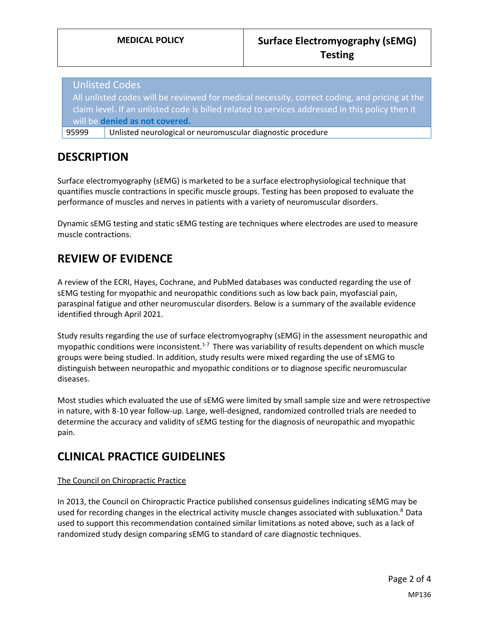Unlisted Codes All unlisted codes will be reviewed for medical necessity, correct coding, and pricing at the claim level. If an unlisted code is billed related to services addressed in this policy then it will be **denied as not covered.**

95999 Unlisted neurological or neuromuscular diagnostic procedure

## **DESCRIPTION**

Surface electromyography (sEMG) is marketed to be a surface electrophysiological technique that quantifies muscle contractions in specific muscle groups. Testing has been proposed to evaluate the performance of muscles and nerves in patients with a variety of neuromuscular disorders.

Dynamic sEMG testing and static sEMG testing are techniques where electrodes are used to measure muscle contractions.

# **REVIEW OF EVIDENCE**

A review of the ECRI, Hayes, Cochrane, and PubMed databases was conducted regarding the use of sEMG testing for myopathic and neuropathic conditions such as low back pain, myofascial pain, paraspinal fatigue and other neuromuscular disorders. Below is a summary of the available evidence identified through April 2021.

Study results regarding the use of surface electromyography (sEMG) in the assessment neuropathic and myopathic conditions were inconsistent.<sup>1-7</sup> There was variability of results dependent on which muscle groups were being studied. In addition, study results were mixed regarding the use of sEMG to distinguish between neuropathic and myopathic conditions or to diagnose specific neuromuscular diseases.

Most studies which evaluated the use of sEMG were limited by small sample size and were retrospective in nature, with 8-10 year follow-up. Large, well-designed, randomized controlled trials are needed to determine the accuracy and validity of sEMG testing for the diagnosis of neuropathic and myopathic pain.

## **CLINICAL PRACTICE GUIDELINES**

#### The Council on Chiropractic Practice

In 2013, the Council on Chiropractic Practice published consensus guidelines indicating sEMG may be used for recording changes in the electrical activity muscle changes associated with subluxation.<sup>8</sup> Data used to support this recommendation contained similar limitations as noted above, such as a lack of randomized study design comparing sEMG to standard of care diagnostic techniques.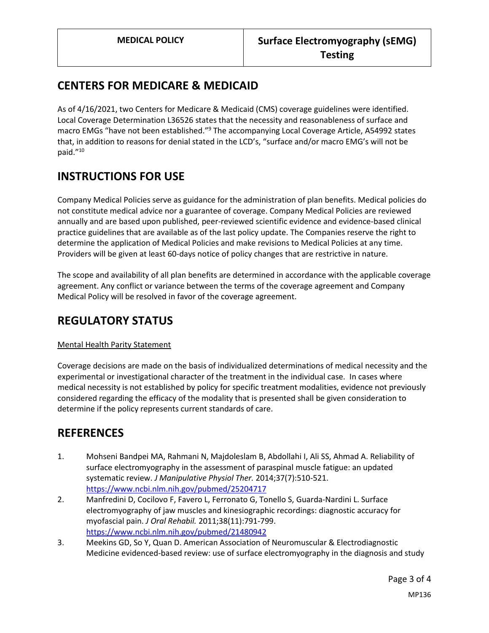## **CENTERS FOR MEDICARE & MEDICAID**

As of 4/16/2021, two Centers for Medicare & Medicaid (CMS) coverage guidelines were identified. Local Coverage Determination L36526 states that the necessity and reasonableness of surface and macro EMGs "have not been established."<sup>9</sup> The accompanying Local Coverage Article, A54992 states that, in addition to reasons for denial stated in the LCD's, "surface and/or macro EMG's will not be paid."<sup>10</sup>

## **INSTRUCTIONS FOR USE**

Company Medical Policies serve as guidance for the administration of plan benefits. Medical policies do not constitute medical advice nor a guarantee of coverage. Company Medical Policies are reviewed annually and are based upon published, peer-reviewed scientific evidence and evidence-based clinical practice guidelines that are available as of the last policy update. The Companies reserve the right to determine the application of Medical Policies and make revisions to Medical Policies at any time. Providers will be given at least 60-days notice of policy changes that are restrictive in nature.

The scope and availability of all plan benefits are determined in accordance with the applicable coverage agreement. Any conflict or variance between the terms of the coverage agreement and Company Medical Policy will be resolved in favor of the coverage agreement.

## **REGULATORY STATUS**

#### Mental Health Parity Statement

Coverage decisions are made on the basis of individualized determinations of medical necessity and the experimental or investigational character of the treatment in the individual case. In cases where medical necessity is not established by policy for specific treatment modalities, evidence not previously considered regarding the efficacy of the modality that is presented shall be given consideration to determine if the policy represents current standards of care.

### **REFERENCES**

- 1. Mohseni Bandpei MA, Rahmani N, Majdoleslam B, Abdollahi I, Ali SS, Ahmad A. Reliability of surface electromyography in the assessment of paraspinal muscle fatigue: an updated systematic review. *J Manipulative Physiol Ther.* 2014;37(7):510-521. <https://www.ncbi.nlm.nih.gov/pubmed/25204717>
- 2. Manfredini D, Cocilovo F, Favero L, Ferronato G, Tonello S, Guarda-Nardini L. Surface electromyography of jaw muscles and kinesiographic recordings: diagnostic accuracy for myofascial pain. *J Oral Rehabil.* 2011;38(11):791-799. <https://www.ncbi.nlm.nih.gov/pubmed/21480942>
- 3. Meekins GD, So Y, Quan D. American Association of Neuromuscular & Electrodiagnostic Medicine evidenced-based review: use of surface electromyography in the diagnosis and study